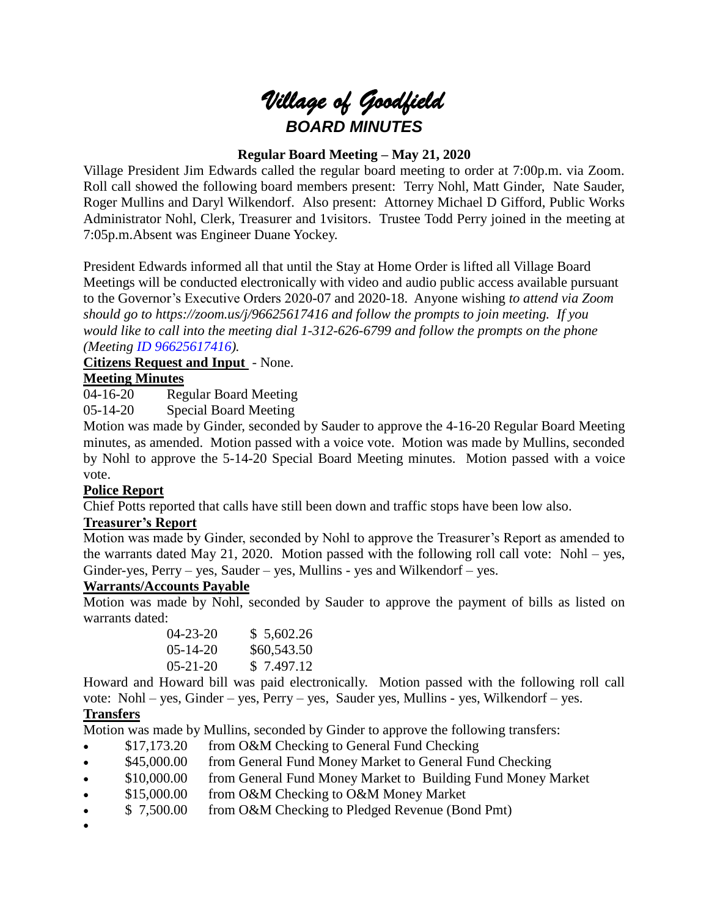# *Village of Goodfield BOARD MINUTES*

# **Regular Board Meeting – May 21, 2020**

Village President Jim Edwards called the regular board meeting to order at 7:00p.m. via Zoom. Roll call showed the following board members present: Terry Nohl, Matt Ginder, Nate Sauder, Roger Mullins and Daryl Wilkendorf. Also present: Attorney Michael D Gifford, Public Works Administrator Nohl, Clerk, Treasurer and 1visitors. Trustee Todd Perry joined in the meeting at 7:05p.m.Absent was Engineer Duane Yockey.

President Edwards informed all that until the Stay at Home Order is lifted all Village Board Meetings will be conducted electronically with video and audio public access available pursuant to the Governor's Executive Orders 2020-07 and 2020-18. Anyone wishing *to attend via Zoom should go to <https://zoom.us/j/96625617416> and follow the prompts to join meeting. If you would like to call into the meeting dial 1-312-626-6799 and follow the prompts on the phone (Meeting ID 96625617416).*

# **Citizens Request and Input** - None.

# **Meeting Minutes**

04-16-20 Regular Board Meeting

05-14-20 Special Board Meeting

Motion was made by Ginder, seconded by Sauder to approve the 4-16-20 Regular Board Meeting minutes, as amended. Motion passed with a voice vote. Motion was made by Mullins, seconded by Nohl to approve the 5-14-20 Special Board Meeting minutes. Motion passed with a voice vote.

#### **Police Report**

Chief Potts reported that calls have still been down and traffic stops have been low also.

#### **Treasurer's Report**

Motion was made by Ginder, seconded by Nohl to approve the Treasurer's Report as amended to the warrants dated May 21, 2020. Motion passed with the following roll call vote: Nohl – yes, Ginder-yes,  $Perry - yes$ , Sauder – yes, Mullins - yes and Wilkendorf – yes.

## **Warrants/Accounts Payable**

Motion was made by Nohl, seconded by Sauder to approve the payment of bills as listed on warrants dated:

| $04 - 23 - 20$ | \$5,602.26  |
|----------------|-------------|
| $05 - 14 - 20$ | \$60,543.50 |
| $05 - 21 - 20$ | \$7.497.12  |

Howard and Howard bill was paid electronically. Motion passed with the following roll call vote: Nohl – yes, Ginder – yes, Perry – yes, Sauder yes, Mullins - yes, Wilkendorf – yes.

# **Transfers**

Motion was made by Mullins, seconded by Ginder to approve the following transfers:

- \$17,173.20 from O&M Checking to General Fund Checking
- \$45,000.00 from General Fund Money Market to General Fund Checking
- \$10,000.00 from General Fund Money Market to Building Fund Money Market
- $\bullet$  \$15,000.00 from O&M Checking to O&M Money Market
- $\bullet$  \$ 7,500.00 from O&M Checking to Pledged Revenue (Bond Pmt)
- $\bullet$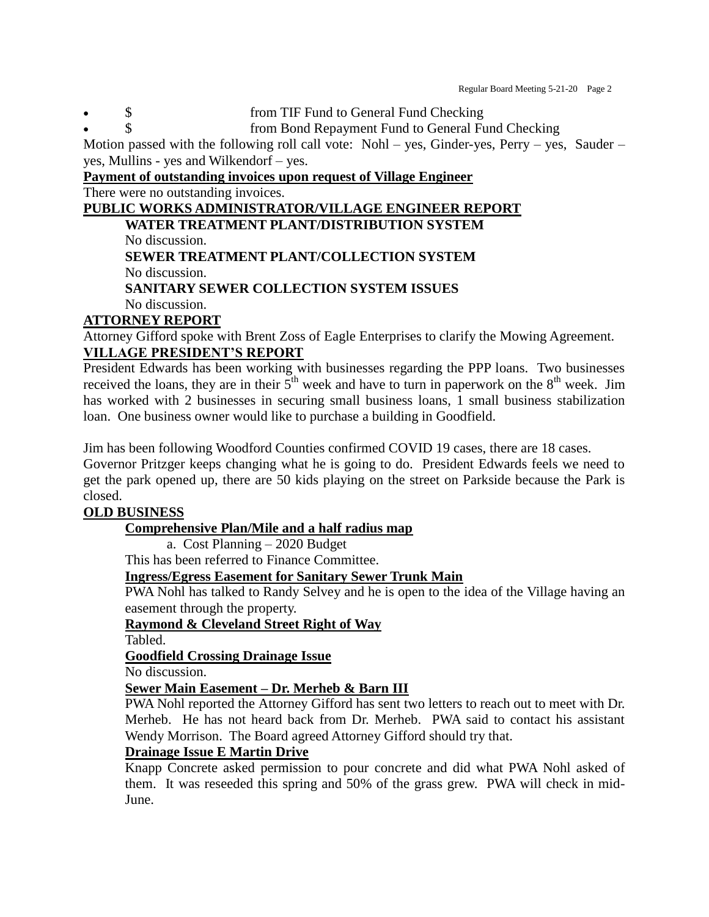Regular Board Meeting 5-21-20 Page 2

- S<br>
S<br>
S<br>
S<br>
S<br>
from Bond Renayment Fund to General Fund<br>
Fund to General Fund<br>
Fund to General Fund<br>
Fund to General Fund<br>
Fund to General Fund
	- from Bond Repayment Fund to General Fund Checking

Motion passed with the following roll call vote: Nohl – yes, Ginder-yes, Perry – yes, Sauder – yes, Mullins - yes and Wilkendorf – yes.

#### **Payment of outstanding invoices upon request of Village Engineer** There were no outstanding invoices.

# **PUBLIC WORKS ADMINISTRATOR/VILLAGE ENGINEER REPORT**

**WATER TREATMENT PLANT/DISTRIBUTION SYSTEM**

No discussion.

**SEWER TREATMENT PLANT/COLLECTION SYSTEM** No discussion.

# **SANITARY SEWER COLLECTION SYSTEM ISSUES**

#### No discussion. **ATTORNEY REPORT**

Attorney Gifford spoke with Brent Zoss of Eagle Enterprises to clarify the Mowing Agreement. **VILLAGE PRESIDENT'S REPORT**

President Edwards has been working with businesses regarding the PPP loans. Two businesses received the loans, they are in their  $5<sup>th</sup>$  week and have to turn in paperwork on the  $8<sup>th</sup>$  week. Jim has worked with 2 businesses in securing small business loans, 1 small business stabilization loan. One business owner would like to purchase a building in Goodfield.

Jim has been following Woodford Counties confirmed COVID 19 cases, there are 18 cases.

Governor Pritzger keeps changing what he is going to do. President Edwards feels we need to get the park opened up, there are 50 kids playing on the street on Parkside because the Park is closed.

# **OLD BUSINESS**

# **Comprehensive Plan/Mile and a half radius map**

a. Cost Planning – 2020 Budget

This has been referred to Finance Committee.

# **Ingress/Egress Easement for Sanitary Sewer Trunk Main**

PWA Nohl has talked to Randy Selvey and he is open to the idea of the Village having an easement through the property.

#### **Raymond & Cleveland Street Right of Way**

Tabled.

# **Goodfield Crossing Drainage Issue**

No discussion.

# **Sewer Main Easement – Dr. Merheb & Barn III**

PWA Nohl reported the Attorney Gifford has sent two letters to reach out to meet with Dr. Merheb. He has not heard back from Dr. Merheb. PWA said to contact his assistant Wendy Morrison. The Board agreed Attorney Gifford should try that.

# **Drainage Issue E Martin Drive**

Knapp Concrete asked permission to pour concrete and did what PWA Nohl asked of them. It was reseeded this spring and 50% of the grass grew. PWA will check in mid-June.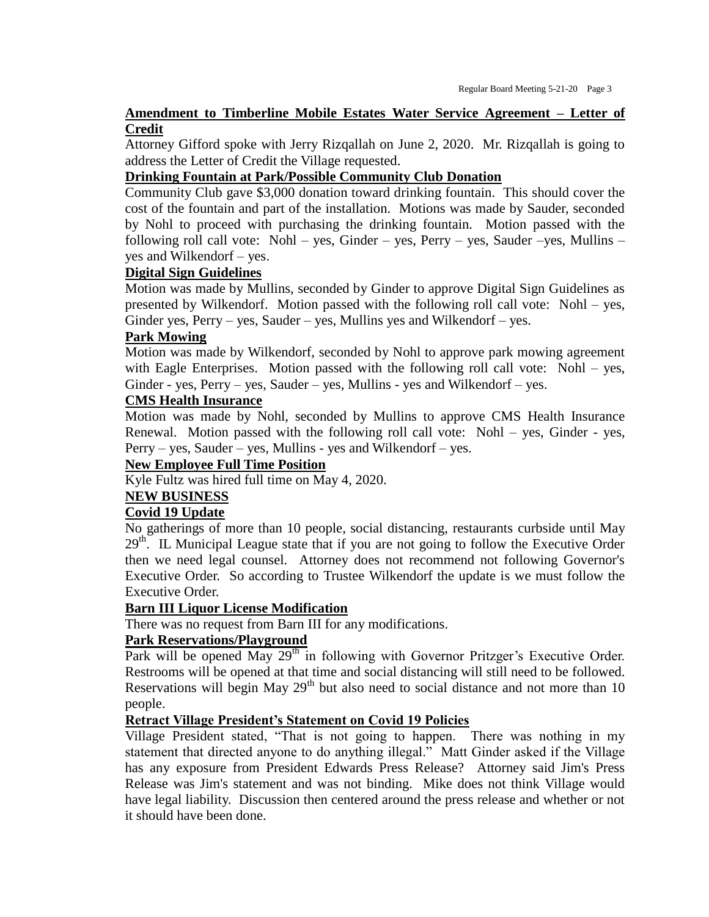# **Amendment to Timberline Mobile Estates Water Service Agreement – Letter of Credit**

Attorney Gifford spoke with Jerry Rizqallah on June 2, 2020. Mr. Rizqallah is going to address the Letter of Credit the Village requested.

#### **Drinking Fountain at Park/Possible Community Club Donation**

Community Club gave \$3,000 donation toward drinking fountain. This should cover the cost of the fountain and part of the installation. Motions was made by Sauder, seconded by Nohl to proceed with purchasing the drinking fountain. Motion passed with the following roll call vote: Nohl – yes, Ginder – yes, Perry – yes, Sauder – yes, Mullins – yes and Wilkendorf – yes.

#### **Digital Sign Guidelines**

Motion was made by Mullins, seconded by Ginder to approve Digital Sign Guidelines as presented by Wilkendorf. Motion passed with the following roll call vote: Nohl – yes, Ginder yes,  $Perry - yes$ , Sauder – yes, Mullins yes and Wilkendorf – yes.

#### **Park Mowing**

Motion was made by Wilkendorf, seconded by Nohl to approve park mowing agreement with Eagle Enterprises. Motion passed with the following roll call vote: Nohl – yes, Ginder - yes,  $Perry - yes$ , Sauder – yes, Mullins - yes and Wilkendorf – yes.

## **CMS Health Insurance**

Motion was made by Nohl, seconded by Mullins to approve CMS Health Insurance Renewal. Motion passed with the following roll call vote: Nohl – yes, Ginder - yes, Perry – yes, Sauder – yes, Mullins - yes and Wilkendorf – yes.

#### **New Employee Full Time Position**

Kyle Fultz was hired full time on May 4, 2020.

#### **NEW BUSINESS**

#### **Covid 19 Update**

No gatherings of more than 10 people, social distancing, restaurants curbside until May  $29<sup>th</sup>$ . IL Municipal League state that if you are not going to follow the Executive Order then we need legal counsel. Attorney does not recommend not following Governor's Executive Order. So according to Trustee Wilkendorf the update is we must follow the Executive Order.

#### **Barn III Liquor License Modification**

There was no request from Barn III for any modifications.

#### **Park Reservations/Playground**

Park will be opened May  $29<sup>th</sup>$  in following with Governor Pritzger's Executive Order. Restrooms will be opened at that time and social distancing will still need to be followed. Reservations will begin May  $29<sup>th</sup>$  but also need to social distance and not more than 10 people.

#### **Retract Village President's Statement on Covid 19 Policies**

Village President stated, "That is not going to happen. There was nothing in my statement that directed anyone to do anything illegal." Matt Ginder asked if the Village has any exposure from President Edwards Press Release? Attorney said Jim's Press Release was Jim's statement and was not binding. Mike does not think Village would have legal liability. Discussion then centered around the press release and whether or not it should have been done.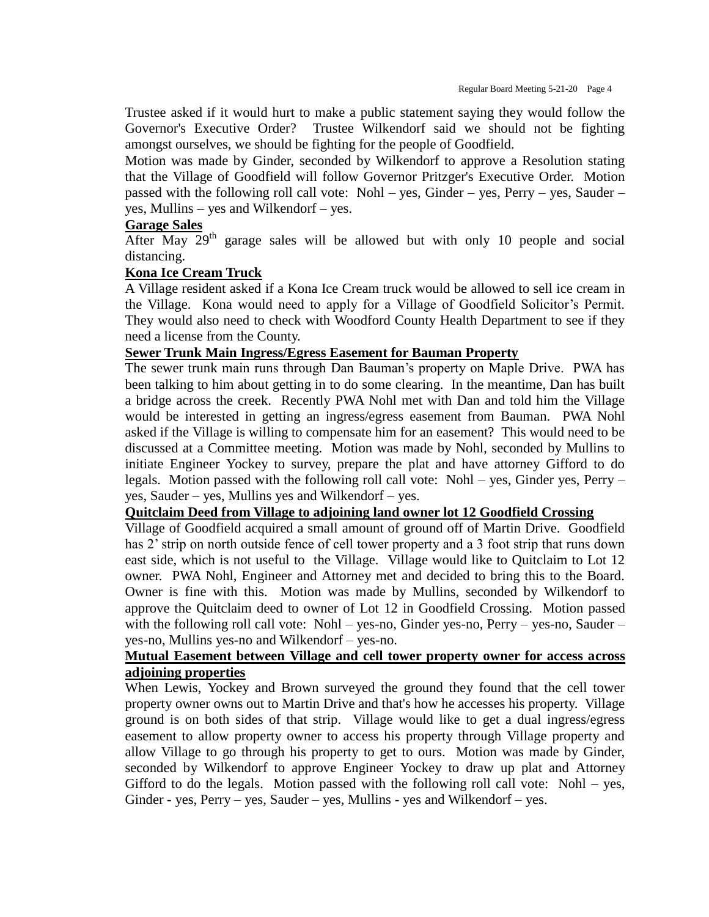Trustee asked if it would hurt to make a public statement saying they would follow the Governor's Executive Order? Trustee Wilkendorf said we should not be fighting amongst ourselves, we should be fighting for the people of Goodfield.

Motion was made by Ginder, seconded by Wilkendorf to approve a Resolution stating that the Village of Goodfield will follow Governor Pritzger's Executive Order. Motion passed with the following roll call vote: Nohl – yes, Ginder – yes, Perry – yes, Sauder – yes, Mullins – yes and Wilkendorf – yes.

### **Garage Sales**

After May  $29<sup>th</sup>$  garage sales will be allowed but with only 10 people and social distancing.

#### **Kona Ice Cream Truck**

A Village resident asked if a Kona Ice Cream truck would be allowed to sell ice cream in the Village. Kona would need to apply for a Village of Goodfield Solicitor's Permit. They would also need to check with Woodford County Health Department to see if they need a license from the County.

#### **Sewer Trunk Main Ingress/Egress Easement for Bauman Property**

The sewer trunk main runs through Dan Bauman's property on Maple Drive. PWA has been talking to him about getting in to do some clearing. In the meantime, Dan has built a bridge across the creek. Recently PWA Nohl met with Dan and told him the Village would be interested in getting an ingress/egress easement from Bauman. PWA Nohl asked if the Village is willing to compensate him for an easement? This would need to be discussed at a Committee meeting. Motion was made by Nohl, seconded by Mullins to initiate Engineer Yockey to survey, prepare the plat and have attorney Gifford to do legals. Motion passed with the following roll call vote: Nohl – yes, Ginder yes, Perry – yes, Sauder – yes, Mullins yes and Wilkendorf – yes.

#### **Quitclaim Deed from Village to adjoining land owner lot 12 Goodfield Crossing**

Village of Goodfield acquired a small amount of ground off of Martin Drive. Goodfield has 2' strip on north outside fence of cell tower property and a 3 foot strip that runs down east side, which is not useful to the Village. Village would like to Quitclaim to Lot 12 owner. PWA Nohl, Engineer and Attorney met and decided to bring this to the Board. Owner is fine with this. Motion was made by Mullins, seconded by Wilkendorf to approve the Quitclaim deed to owner of Lot 12 in Goodfield Crossing. Motion passed with the following roll call vote: Nohl – yes-no, Ginder yes-no, Perry – yes-no, Sauder – yes-no, Mullins yes-no and Wilkendorf – yes-no.

#### **Mutual Easement between Village and cell tower property owner for access across adjoining properties**

When Lewis, Yockey and Brown surveyed the ground they found that the cell tower property owner owns out to Martin Drive and that's how he accesses his property. Village ground is on both sides of that strip. Village would like to get a dual ingress/egress easement to allow property owner to access his property through Village property and allow Village to go through his property to get to ours. Motion was made by Ginder, seconded by Wilkendorf to approve Engineer Yockey to draw up plat and Attorney Gifford to do the legals. Motion passed with the following roll call vote: Nohl – yes, Ginder - yes, Perry – yes, Sauder – yes, Mullins - yes and Wilkendorf – yes.